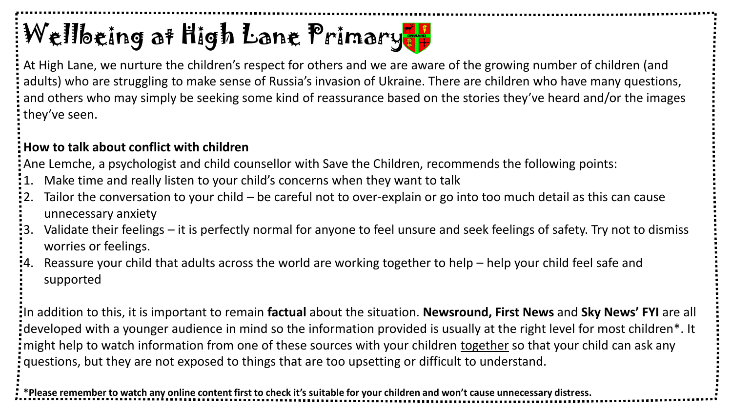# Wellbeing at High Lane Primary

At High Lane, we nurture the children's respect for others and we are aware of the growing number of children (and adults) who are struggling to make sense of Russia's invasion of Ukraine. There are children who have many questions, and others who may simply be seeking some kind of reassurance based on the stories they've heard and/or the images they've seen.

### **How to talk about conflict with children**

Ane Lemche, a psychologist and child counsellor with Save the Children, recommends the following points:

- 1. Make time and really listen to your child's concerns when they want to talk
- 2. Tailor the conversation to your child be careful not to over-explain or go into too much detail as this can cause unnecessary anxiety
- 3. Validate their feelings it is perfectly normal for anyone to feel unsure and seek feelings of safety. Try not to dismiss worries or feelings.
- 4. Reassure your child that adults across the world are working together to help help your child feel safe and supported

In addition to this, it is important to remain **factual** about the situation. **Newsround, First News** and **Sky News' FYI** are all developed with a younger audience in mind so the information provided is usually at the right level for most children\*. It might help to watch information from one of these sources with your children together so that your child can ask any questions, but they are not exposed to things that are too upsetting or difficult to understand.